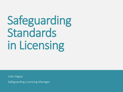# Safeguarding Standards in Licensing

Julie Hague

Safeguarding Licensing Manager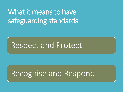## What it means to have safeguarding standards

## Respect and Protect

## Recognise and Respond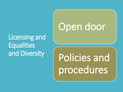### Licensing and **Equalities** and Diversity

## Open door

## Policies and procedures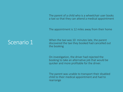The parent of a child who is a wheelchair user books a taxi so that they can attend a medical appointment

The appointment is 12 miles away from their home

#### Scenario 1

When the taxi was 10 minutes late, the parent discovered the taxi they booked had cancelled out the booking

On investigation, the driver had rejected the booking to take an alternative job that would be quicker and more profitable for the driver.

The parent was unable to transport their disabled child to their medical appointment and had to rearrange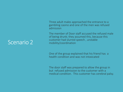Three adult males approached the entrance to a gambling casino and one of the men was refused admission

The member of Door staff accused the refused male of being drunk; they assumed this, because this customer had slurred speech , unstable mobility/coordination

One of the group explained that his friend has a health condition and was not intoxicated

The door staff was prepared to allow the group in but refused admission to the customer with a medical condition. This customer has cerebral palsy.

#### Scenario 2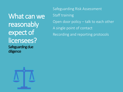What can we reasonably expect of licensees? Safeguarding due diligence

Safeguarding Risk Assessment Staff training Open door policy – talk to each other A single point of contact Recording and reporting protocols

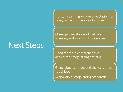Next Steps

Horizon scanning – more expectation for safeguarding for people of all ages

Closer partnership work between licensing and safeguarding services

Need for more comprehensive, accredited safeguarding training

Going above and beyond the legislation to achieve

Responsible Safeguarding Standards